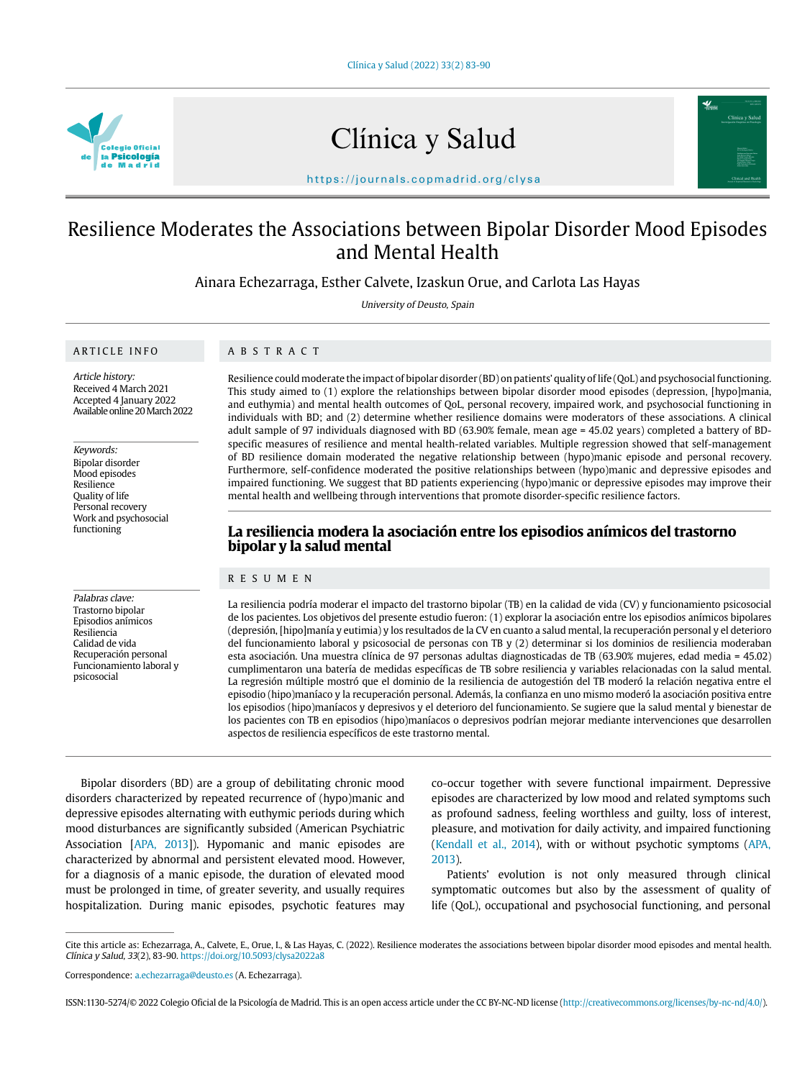Clínica y Salud (2022) 33(2) 83-90



# Clínica y Salud



https://journals.copmadrid.org/clysa

# Resilience Moderates the Associations between Bipolar Disorder Mood Episodes and Mental Health

Ainara Echezarraga, Esther Calvete, Izaskun Orue, and Carlota Las Hayas

University of Deusto, Spain

#### ARTICLE INFO

# ABSTRACT

Article history: Received 4 March 2021 Accepted 4 January 2022 Available online 20 March 2022

Keywords: Bipolar disorder Mood episodes Resilience Quality of life Personal recovery Work and psychosocial functioning

Palabras clave: Trastorno bipolar Episodios anímicos Resiliencia Calidad de vida Recuperación personal Funcionamiento laboral y psicosocial

Resilience could moderate the impact of bipolar disorder (BD) on patients' quality of life (QoL) and psychosocial functioning. This study aimed to (1) explore the relationships between bipolar disorder mood episodes (depression, [hypo]mania, and euthymia) and mental health outcomes of QoL, personal recovery, impaired work, and psychosocial functioning in individuals with BD; and (2) determine whether resilience domains were moderators of these associations. A clinical adult sample of 97 individuals diagnosed with BD (63.90% female, mean age = 45.02 years) completed a battery of BDspecific measures of resilience and mental health-related variables. Multiple regression showed that self-management of BD resilience domain moderated the negative relationship between (hypo)manic episode and personal recovery. Furthermore, self-confidence moderated the positive relationships between (hypo)manic and depressive episodes and impaired functioning. We suggest that BD patients experiencing (hypo)manic or depressive episodes may improve their mental health and wellbeing through interventions that promote disorder-specific resilience factors.

# **La resiliencia modera la asociación entre los episodios anímicos del trastorno bipolar y la salud mental**

#### RESUMEN

La resiliencia podría moderar el impacto del trastorno bipolar (TB) en la calidad de vida (CV) y funcionamiento psicosocial de los pacientes. Los objetivos del presente estudio fueron: (1) explorar la asociación entre los episodios anímicos bipolares (depresión, [hipo]manía y eutimia) y los resultados de la CV en cuanto a salud mental, la recuperación personal y el deterioro del funcionamiento laboral y psicosocial de personas con TB y (2) determinar si los dominios de resiliencia moderaban esta asociación. Una muestra clínica de 97 personas adultas diagnosticadas de TB (63.90% mujeres, edad media = 45.02) cumplimentaron una batería de medidas específicas de TB sobre resiliencia y variables relacionadas con la salud mental. La regresión múltiple mostró que el dominio de la resiliencia de autogestión del TB moderó la relación negativa entre el episodio (hipo)maníaco y la recuperación personal. Además, la confianza en uno mismo moderó la asociación positiva entre los episodios (hipo)maníacos y depresivos y el deterioro del funcionamiento. Se sugiere que la salud mental y bienestar de los pacientes con TB en episodios (hipo)maníacos o depresivos podrían mejorar mediante intervenciones que desarrollen aspectos de resiliencia específicos de este trastorno mental.

Bipolar disorders (BD) are a group of debilitating chronic mood disorders characterized by repeated recurrence of (hypo)manic and depressive episodes alternating with euthymic periods during which mood disturbances are significantly subsided (American Psychiatric Association [APA, 2013]). Hypomanic and manic episodes are characterized by abnormal and persistent elevated mood. However, for a diagnosis of a manic episode, the duration of elevated mood must be prolonged in time, of greater severity, and usually requires hospitalization. During manic episodes, psychotic features may

co-occur together with severe functional impairment. Depressive episodes are characterized by low mood and related symptoms such as profound sadness, feeling worthless and guilty, loss of interest, pleasure, and motivation for daily activity, and impaired functioning (Kendall et al., 2014), with or without psychotic symptoms (APA, 2013).

Patients' evolution is not only measured through clinical symptomatic outcomes but also by the assessment of quality of life (QoL), occupational and psychosocial functioning, and personal

Cite this article as: Echezarraga, A., Calvete, E., Orue, I., & Las Hayas, C. (2022). Resilience moderates the associations between bipolar disorder mood episodes and mental health. Clínica y Salud, 33(2), 83-90. https://doi.org/10.5093/clysa2022a8

Correspondence: a.echezarraga@deusto.es (A. Echezarraga).

ISSN:1130-5274/© 2022 Colegio Oficial de la Psicología de Madrid. This is an open access article under the CC BY-NC-ND license (http://creativecommons.org/licenses/by-nc-nd/4.0/).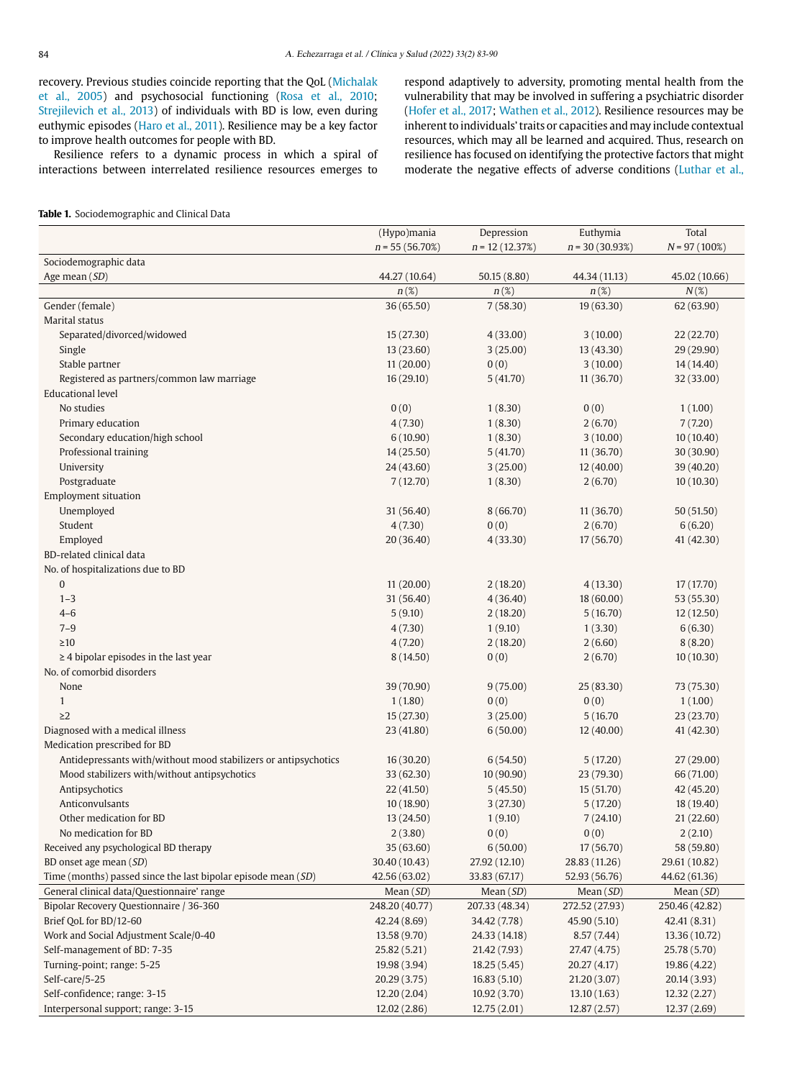recovery. Previous studies coincide reporting that the QoL (Michalak et al., 2005) and psychosocial functioning (Rosa et al., 2010; Strejilevich et al., 2013) of individuals with BD is low, even during euthymic episodes (Haro et al., 2011). Resilience may be a key factor to improve health outcomes for people with BD.

Resilience refers to a dynamic process in which a spiral of interactions between interrelated resilience resources emerges to

respond adaptively to adversity, promoting mental health from the vulnerability that may be involved in suffering a psychiatric disorder (Hofer et al., 2017; Wathen et al., 2012). Resilience resources may be inherent to individuals' traits or capacities and may include contextual resources, which may all be learned and acquired. Thus, research on resilience has focused on identifying the protective factors that might moderate the negative effects of adverse conditions (Luthar et al.,

#### **Table 1.** Sociodemographic and Clinical Data

|                                                                 | (Hypo)mania        | Depression       | Euthymia           | Total           |
|-----------------------------------------------------------------|--------------------|------------------|--------------------|-----------------|
|                                                                 | $n = 55(56.70\%)$  | $n = 12(12.37%)$ | $n = 30(30.93%)$   | $N = 97(100\%)$ |
| Sociodemographic data                                           |                    |                  |                    |                 |
| Age mean (SD)                                                   | 44.27 (10.64)      | 50.15 (8.80)     | 44.34 (11.13)      | 45.02 (10.66)   |
|                                                                 | $n(\%)$            | $n(\%)$          | $n(\%)$            | $N(\%)$         |
| Gender (female)                                                 | 36 (65.50)         | 7(58.30)         | 19(63.30)          | 62 (63.90)      |
| Marital status                                                  |                    |                  |                    |                 |
| Separated/divorced/widowed                                      | 15 (27.30)         | 4(33.00)         | 3(10.00)           | 22 (22.70)      |
| Single                                                          | 13 (23.60)         | 3(25.00)         | 13 (43.30)         | 29 (29.90)      |
| Stable partner                                                  | 11(20.00)          | 0(0)             | 3(10.00)           | 14 (14.40)      |
| Registered as partners/common law marriage                      | 16(29.10)          | 5(41.70)         | 11 (36.70)         | 32 (33.00)      |
| <b>Educational level</b>                                        |                    |                  |                    |                 |
| No studies                                                      | 0(0)               | 1(8.30)          | 0(0)               | 1(1.00)         |
| Primary education                                               | 4(7.30)            | 1(8.30)          | 2(6.70)            | 7(7.20)         |
| Secondary education/high school                                 | 6(10.90)           | 1(8.30)          | 3(10.00)           | 10(10.40)       |
| Professional training                                           | 14(25.50)          | 5(41.70)         | 11 (36.70)         | 30 (30.90)      |
| University                                                      | 24 (43.60)         | 3(25.00)         | 12(40.00)          | 39 (40.20)      |
| Postgraduate                                                    | 7(12.70)           | 1(8.30)          | 2(6.70)            | 10(10.30)       |
| <b>Employment situation</b>                                     |                    |                  |                    |                 |
| Unemployed                                                      | 31 (56.40)         | 8(66.70)         | 11 (36.70)         | 50 (51.50)      |
| Student                                                         | 4(7.30)            | 0(0)             | 2(6.70)            | 6(6.20)         |
| Employed                                                        | 20 (36.40)         | 4(33.30)         | 17 (56.70)         | 41 (42.30)      |
| BD-related clinical data                                        |                    |                  |                    |                 |
| No. of hospitalizations due to BD                               |                    |                  |                    |                 |
| $\boldsymbol{0}$                                                | 11(20.00)          | 2(18.20)         | 4(13.30)           | 17 (17.70)      |
| $1 - 3$                                                         | 31 (56.40)         | 4(36.40)         | 18 (60.00)         | 53 (55.30)      |
| $4 - 6$                                                         |                    |                  | 5(16.70)           | 12(12.50)       |
| $7 - 9$                                                         | 5(9.10)<br>4(7.30) | 2(18.20)         |                    |                 |
| $\geq$ 10                                                       |                    | 1(9.10)          | 1(3.30)<br>2(6.60) | 6(6.30)         |
|                                                                 | 4(7.20)            | 2(18.20)         |                    | 8(8.20)         |
| $\geq$ 4 bipolar episodes in the last year                      | 8 (14.50)          | 0(0)             | 2(6.70)            | 10(10.30)       |
| No. of comorbid disorders                                       |                    |                  |                    |                 |
| None                                                            | 39 (70.90)         | 9(75.00)         | 25(83.30)          | 73 (75.30)      |
| $\mathbf{1}$                                                    | 1(1.80)            | 0(0)             | 0(0)               | 1(1.00)         |
| $\geq$ 2                                                        | 15(27.30)          | 3(25.00)         | 5 (16.70)          | 23 (23.70)      |
| Diagnosed with a medical illness                                | 23 (41.80)         | 6(50.00)         | 12(40.00)          | 41 (42.30)      |
| Medication prescribed for BD                                    |                    |                  |                    |                 |
| Antidepressants with/without mood stabilizers or antipsychotics | 16 (30.20)         | 6(54.50)         | 5(17.20)           | 27(29.00)       |
| Mood stabilizers with/without antipsychotics                    | 33 (62.30)         | 10 (90.90)       | 23 (79.30)         | 66 (71.00)      |
| Antipsychotics                                                  | 22 (41.50)         | 5(45.50)         | 15(51.70)          | 42 (45.20)      |
| Anticonvulsants                                                 | 10(18.90)          | 3(27.30)         | 5(17.20)           | 18 (19.40)      |
| Other medication for BD                                         | 13 (24.50)         | 1(9.10)          | 7(24.10)           | 21 (22.60)      |
| No medication for BD                                            | 2(3.80)            | 0(0)             | 0(0)               | 2(2.10)         |
| Received any psychological BD therapy                           | 35 (63.60)         | 6(50.00)         | 17 (56.70)         | 58 (59.80)      |
| BD onset age mean (SD)                                          | 30.40 (10.43)      | 27.92 (12.10)    | 28.83 (11.26)      | 29.61 (10.82)   |
| Time (months) passed since the last bipolar episode mean (SD)   | 42.56 (63.02)      | 33.83 (67.17)    | 52.93 (56.76)      | 44.62 (61.36)   |
| General clinical data/Questionnaire' range                      | Mean $(SD)$        | Mean $(SD)$      | Mean $(SD)$        | Mean $(SD)$     |
| Bipolar Recovery Questionnaire / 36-360                         | 248.20 (40.77)     | 207.33 (48.34)   | 272.52 (27.93)     | 250.46 (42.82)  |
| Brief QoL for BD/12-60                                          | 42.24 (8.69)       | 34.42 (7.78)     | 45.90 (5.10)       | 42.41 (8.31)    |
| Work and Social Adjustment Scale/0-40                           | 13.58 (9.70)       | 24.33 (14.18)    | 8.57(7.44)         | 13.36 (10.72)   |
| Self-management of BD: 7-35                                     | 25.82 (5.21)       | 21.42 (7.93)     | 27.47 (4.75)       | 25.78 (5.70)    |
| Turning-point; range: 5-25                                      | 19.98 (3.94)       | 18.25(5.45)      | 20.27 (4.17)       | 19.86 (4.22)    |
| Self-care/5-25                                                  | 20.29(3.75)        | 16.83(5.10)      | 21.20 (3.07)       | 20.14 (3.93)    |
| Self-confidence; range: 3-15                                    | 12.20(2.04)        | 10.92(3.70)      | 13.10(1.63)        | 12.32(2.27)     |
| Interpersonal support; range: 3-15                              | 12.02(2.86)        | 12.75(2.01)      | 12.87(2.57)        | 12.37 (2.69)    |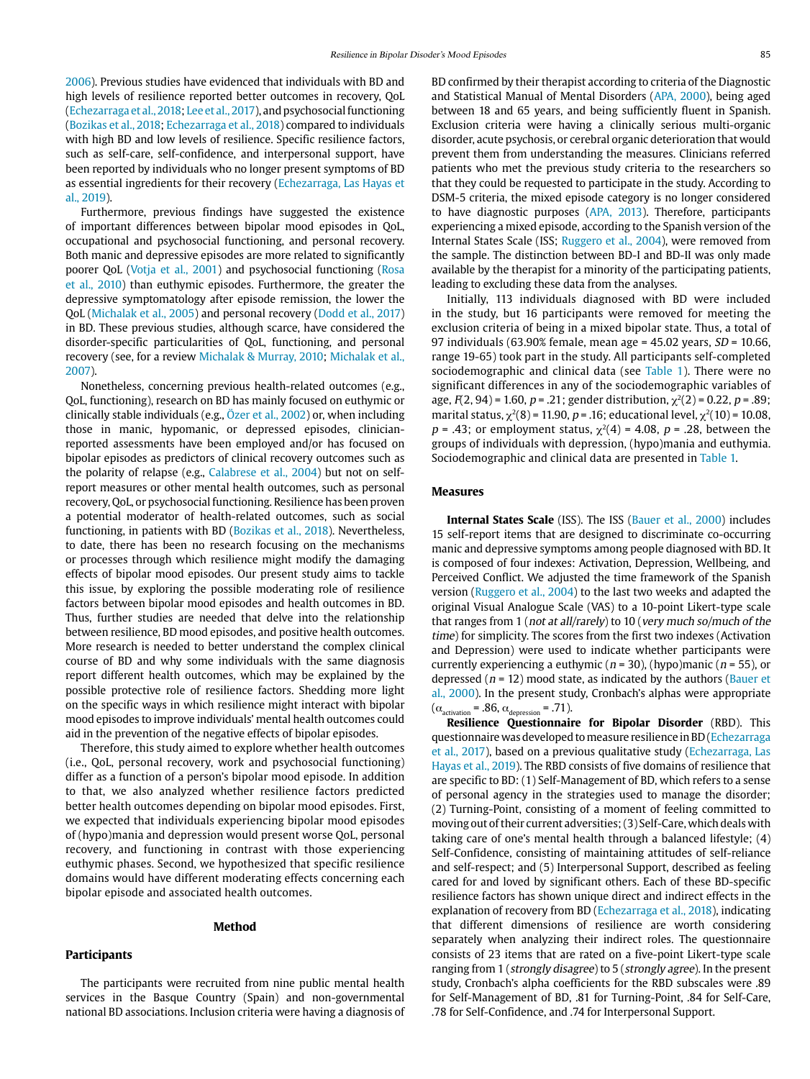2006). Previous studies have evidenced that individuals with BD and high levels of resilience reported better outcomes in recovery, QoL (Echezarraga et al., 2018; Lee et al., 2017), and psychosocial functioning (Bozikas et al., 2018; Echezarraga et al., 2018) compared to individuals with high BD and low levels of resilience. Specific resilience factors, such as self-care, self-confidence, and interpersonal support, have been reported by individuals who no longer present symptoms of BD as essential ingredients for their recovery (Echezarraga, Las Hayas et al., 2019).

Furthermore, previous findings have suggested the existence of important differences between bipolar mood episodes in QoL, occupational and psychosocial functioning, and personal recovery. Both manic and depressive episodes are more related to significantly poorer QoL (Votja et al., 2001) and psychosocial functioning (Rosa et al., 2010) than euthymic episodes. Furthermore, the greater the depressive symptomatology after episode remission, the lower the QoL (Michalak et al., 2005) and personal recovery (Dodd et al., 2017) in BD. These previous studies, although scarce, have considered the disorder-specific particularities of QoL, functioning, and personal recovery (see, for a review Michalak & Murray, 2010; Michalak et al., 2007).

Nonetheless, concerning previous health-related outcomes (e.g., QoL, functioning), research on BD has mainly focused on euthymic or clinically stable individuals (e.g., Özer et al., 2002) or, when including those in manic, hypomanic, or depressed episodes, clinicianreported assessments have been employed and/or has focused on bipolar episodes as predictors of clinical recovery outcomes such as the polarity of relapse (e.g., Calabrese et al., 2004) but not on selfreport measures or other mental health outcomes, such as personal recovery, QoL, or psychosocial functioning. Resilience has been proven a potential moderator of health-related outcomes, such as social functioning, in patients with BD (Bozikas et al., 2018). Nevertheless, to date, there has been no research focusing on the mechanisms or processes through which resilience might modify the damaging effects of bipolar mood episodes. Our present study aims to tackle this issue, by exploring the possible moderating role of resilience factors between bipolar mood episodes and health outcomes in BD. Thus, further studies are needed that delve into the relationship between resilience, BD mood episodes, and positive health outcomes. More research is needed to better understand the complex clinical course of BD and why some individuals with the same diagnosis report different health outcomes, which may be explained by the possible protective role of resilience factors. Shedding more light on the specific ways in which resilience might interact with bipolar mood episodes to improve individuals' mental health outcomes could aid in the prevention of the negative effects of bipolar episodes.

Therefore, this study aimed to explore whether health outcomes (i.e., QoL, personal recovery, work and psychosocial functioning) differ as a function of a person's bipolar mood episode. In addition to that, we also analyzed whether resilience factors predicted better health outcomes depending on bipolar mood episodes. First, we expected that individuals experiencing bipolar mood episodes of (hypo)mania and depression would present worse QoL, personal recovery, and functioning in contrast with those experiencing euthymic phases. Second, we hypothesized that specific resilience domains would have different moderating effects concerning each bipolar episode and associated health outcomes.

## **Method**

# **Participants**

The participants were recruited from nine public mental health services in the Basque Country (Spain) and non-governmental national BD associations. Inclusion criteria were having a diagnosis of BD confirmed by their therapist according to criteria of the Diagnostic and Statistical Manual of Mental Disorders (APA, 2000), being aged between 18 and 65 years, and being sufficiently fluent in Spanish. Exclusion criteria were having a clinically serious multi-organic disorder, acute psychosis, or cerebral organic deterioration that would prevent them from understanding the measures. Clinicians referred patients who met the previous study criteria to the researchers so that they could be requested to participate in the study. According to DSM-5 criteria, the mixed episode category is no longer considered to have diagnostic purposes (APA, 2013). Therefore, participants experiencing a mixed episode, according to the Spanish version of the Internal States Scale (ISS; Ruggero et al., 2004), were removed from the sample. The distinction between BD-I and BD-II was only made available by the therapist for a minority of the participating patients, leading to excluding these data from the analyses.

Initially, 113 individuals diagnosed with BD were included in the study, but 16 participants were removed for meeting the exclusion criteria of being in a mixed bipolar state. Thus, a total of 97 individuals (63.90% female, mean age =  $45.02$  years,  $SD = 10.66$ , range 19-65) took part in the study. All participants self-completed sociodemographic and clinical data (see Table 1). There were no significant differences in any of the sociodemographic variables of age,  $F(2, 94) = 1.60$ ,  $p = .21$ ; gender distribution,  $\chi^2(2) = 0.22$ ,  $p = .89$ ; marital status,  $\chi^2(8)$  = 11.90, p = .16; educational level,  $\chi^2(10)$  = 10.08,  $p = .43$ ; or employment status,  $\chi^2(4) = 4.08$ ,  $p = .28$ , between the groups of individuals with depression, (hypo)mania and euthymia. Sociodemographic and clinical data are presented in Table 1.

#### **Measures**

**Internal States Scale** (ISS). The ISS (Bauer et al., 2000) includes 15 self-report items that are designed to discriminate co-occurring manic and depressive symptoms among people diagnosed with BD. It is composed of four indexes: Activation, Depression, Wellbeing, and Perceived Conflict. We adjusted the time framework of the Spanish version (Ruggero et al., 2004) to the last two weeks and adapted the original Visual Analogue Scale (VAS) to a 10-point Likert-type scale that ranges from 1 (not at all/rarely) to 10 (very much so/much of the time) for simplicity. The scores from the first two indexes (Activation and Depression) were used to indicate whether participants were currently experiencing a euthymic ( $n = 30$ ), (hypo)manic ( $n = 55$ ), or depressed ( $n = 12$ ) mood state, as indicated by the authors (Bauer et al., 2000). In the present study, Cronbach's alphas were appropriate  $(\alpha_{\text{activation}} = .86, \alpha_{\text{depression}} = .71).$ 

**Resilience Questionnaire for Bipolar Disorder** (RBD). This questionnaire was developed to measure resilience in BD (Echezarraga et al., 2017), based on a previous qualitative study (Echezarraga, Las Hayas et al., 2019). The RBD consists of five domains of resilience that are specific to BD: (1) Self-Management of BD, which refers to a sense of personal agency in the strategies used to manage the disorder; (2) Turning-Point, consisting of a moment of feeling committed to moving out of their current adversities; (3) Self-Care, which deals with taking care of one's mental health through a balanced lifestyle; (4) Self-Confidence, consisting of maintaining attitudes of self-reliance and self-respect; and (5) Interpersonal Support, described as feeling cared for and loved by significant others. Each of these BD-specific resilience factors has shown unique direct and indirect effects in the explanation of recovery from BD (Echezarraga et al., 2018), indicating that different dimensions of resilience are worth considering separately when analyzing their indirect roles. The questionnaire consists of 23 items that are rated on a five-point Likert-type scale ranging from 1 (strongly disagree) to 5 (strongly agree). In the present study, Cronbach's alpha coefficients for the RBD subscales were .89 for Self-Management of BD, .81 for Turning-Point, .84 for Self-Care, .78 for Self-Confidence, and .74 for Interpersonal Support.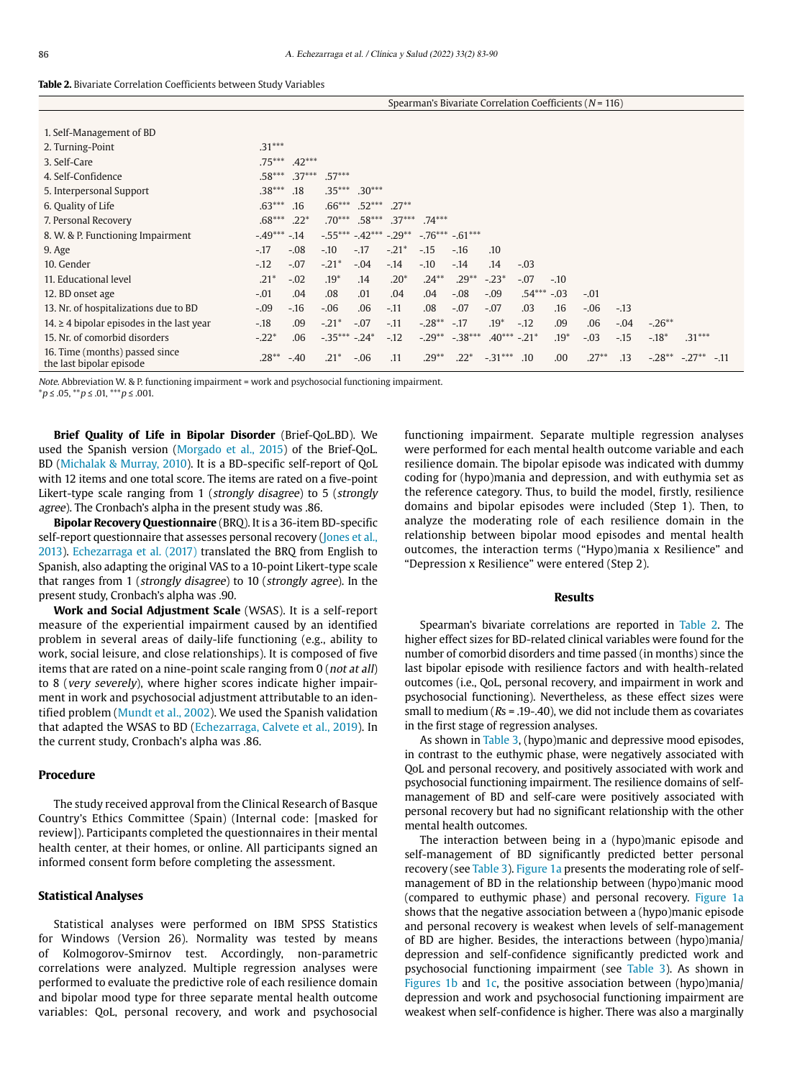| <b>Table 2.</b> Bivariate Correlation Coefficients between Study Variables |  |  |
|----------------------------------------------------------------------------|--|--|
|----------------------------------------------------------------------------|--|--|

|                                                            | Spearman's Bivariate Correlation Coefficients ( $N = 116$ ) |          |               |                                 |          |                  |                     |               |          |        |         |        |           |               |
|------------------------------------------------------------|-------------------------------------------------------------|----------|---------------|---------------------------------|----------|------------------|---------------------|---------------|----------|--------|---------|--------|-----------|---------------|
|                                                            |                                                             |          |               |                                 |          |                  |                     |               |          |        |         |        |           |               |
| 1. Self-Management of BD                                   |                                                             |          |               |                                 |          |                  |                     |               |          |        |         |        |           |               |
| 2. Turning-Point                                           | $.31***$                                                    |          |               |                                 |          |                  |                     |               |          |        |         |        |           |               |
| 3. Self-Care                                               | $.75***$                                                    | $.42***$ |               |                                 |          |                  |                     |               |          |        |         |        |           |               |
| 4. Self-Confidence                                         | $.58***$                                                    | $.37***$ | $.57***$      |                                 |          |                  |                     |               |          |        |         |        |           |               |
| 5. Interpersonal Support                                   | $.38***$                                                    | .18      | $.35***$      | $.30***$                        |          |                  |                     |               |          |        |         |        |           |               |
| 6. Quality of Life                                         | $.63***$                                                    | .16      | $.66***$      | $.52***$                        | $.27**$  |                  |                     |               |          |        |         |        |           |               |
| 7. Personal Recovery                                       | $.68***$                                                    | $.22*$   | $.70***$      | $.58***$                        | $.37***$ | $.74***$         |                     |               |          |        |         |        |           |               |
| 8. W. & P. Functioning Impairment                          | $-49***$                                                    | $-.14$   |               | $-0.55***$ $-0.42***$ $-0.29**$ |          | $-.76***-.61***$ |                     |               |          |        |         |        |           |               |
| 9. Age                                                     | $-17$                                                       | $-.08$   | $-.10$        | $-.17$                          | $-.21*$  | $-15$            | $-.16$              | .10           |          |        |         |        |           |               |
| 10. Gender                                                 | $-12$                                                       | $-.07$   | $-.21*$       | $-.04$                          | $-.14$   | $-.10$           | $-14$               | .14           | $-.03$   |        |         |        |           |               |
| 11. Educational level                                      | $.21*$                                                      | $-.02$   | $.19*$        | .14                             | $.20*$   | $.24***$         | $.29**$             | $-.23*$       | $-.07$   | $-.10$ |         |        |           |               |
| 12. BD onset age                                           | $-.01$                                                      | .04      | .08           | .01                             | .04      | .04              | $-.08$              | $-.09$        | $.54***$ | $-.03$ | $-.01$  |        |           |               |
| 13. Nr. of hospitalizations due to BD                      | $-.09$                                                      | $-16$    | $-.06$        | .06                             | $-.11$   | .08              | $-.07$              | $-.07$        | .03      | .16    | $-.06$  | $-.13$ |           |               |
| $14. \geq 4$ bipolar episodes in the last year             | $-.18$                                                      | .09      | $-.21*$       | $-.07$                          | $-.11$   | $-.28***-.17$    |                     | $.19*$        | $-.12$   | .09    | .06     | $-.04$ | $-.26***$ |               |
| 15. Nr. of comorbid disorders                              | $-.22*$                                                     | .06      | $-35*** -24*$ |                                 | $-.12$   |                  | $-.29***$ $-.38***$ | $.40***-.21*$ |          | $.19*$ | $-.03$  | $-.15$ | $-.18*$   | $.31***$      |
| 16. Time (months) passed since<br>the last bipolar episode | $.28**$                                                     | $-.40$   | $.21*$        | $-.06$                          | .11      | $.29**$          | $.22*$              | $-.31***$ .10 |          | .00.   | $.27**$ | .13    | $-.28**$  | $-.27***-.11$ |

Note. Abbreviation W. & P. functioning impairment = work and psychosocial functioning impairment.

 $**p* ≤ .05, ***p* ≤ .01, ****p* ≤ .001.$ 

**Brief Quality of Life in Bipolar Disorder** (Brief-QoL.BD). We used the Spanish version (Morgado et al., 2015) of the Brief-QoL. BD (Michalak & Murray, 2010). It is a BD-specific self-report of QoL with 12 items and one total score. The items are rated on a five-point Likert-type scale ranging from 1 (strongly disagree) to 5 (strongly agree). The Cronbach's alpha in the present study was .86.

**Bipolar Recovery Questionnaire** (BRQ). It is a 36-item BD-specific self-report questionnaire that assesses personal recovery (Jones et al., 2013). Echezarraga et al. (2017) translated the BRQ from English to Spanish, also adapting the original VAS to a 10-point Likert-type scale that ranges from 1 (strongly disagree) to 10 (strongly agree). In the present study, Cronbach's alpha was .90.

**Work and Social Adjustment Scale** (WSAS). It is a self-report measure of the experiential impairment caused by an identified problem in several areas of daily-life functioning (e.g., ability to work, social leisure, and close relationships). It is composed of five items that are rated on a nine-point scale ranging from 0 (not at all) to 8 (very severely), where higher scores indicate higher impairment in work and psychosocial adjustment attributable to an identified problem (Mundt et al., 2002). We used the Spanish validation that adapted the WSAS to BD (Echezarraga, Calvete et al., 2019). In the current study, Cronbach's alpha was .86.

#### **Procedure**

The study received approval from the Clinical Research of Basque Country's Ethics Committee (Spain) (Internal code: [masked for review]). Participants completed the questionnaires in their mental health center, at their homes, or online. All participants signed an informed consent form before completing the assessment.

#### **Statistical Analyses**

Statistical analyses were performed on IBM SPSS Statistics for Windows (Version 26). Normality was tested by means of Kolmogorov-Smirnov test. Accordingly, non-parametric correlations were analyzed. Multiple regression analyses were performed to evaluate the predictive role of each resilience domain and bipolar mood type for three separate mental health outcome variables: QoL, personal recovery, and work and psychosocial functioning impairment. Separate multiple regression analyses were performed for each mental health outcome variable and each resilience domain. The bipolar episode was indicated with dummy coding for (hypo)mania and depression, and with euthymia set as the reference category. Thus, to build the model, firstly, resilience domains and bipolar episodes were included (Step 1). Then, to analyze the moderating role of each resilience domain in the relationship between bipolar mood episodes and mental health outcomes, the interaction terms ("Hypo)mania x Resilience" and "Depression x Resilience" were entered (Step 2).

#### **Results**

Spearman's bivariate correlations are reported in Table 2. The higher effect sizes for BD-related clinical variables were found for the number of comorbid disorders and time passed (in months) since the last bipolar episode with resilience factors and with health-related outcomes (i.e., QoL, personal recovery, and impairment in work and psychosocial functioning). Nevertheless, as these effect sizes were small to medium ( $Rs = .19-.40$ ), we did not include them as covariates in the first stage of regression analyses.

As shown in Table 3, (hypo)manic and depressive mood episodes, in contrast to the euthymic phase, were negatively associated with QoL and personal recovery, and positively associated with work and psychosocial functioning impairment. The resilience domains of selfmanagement of BD and self-care were positively associated with personal recovery but had no significant relationship with the other mental health outcomes.

The interaction between being in a (hypo)manic episode and self-management of BD significantly predicted better personal recovery (see Table 3). Figure 1a presents the moderating role of selfmanagement of BD in the relationship between (hypo)manic mood (compared to euthymic phase) and personal recovery. Figure 1a shows that the negative association between a (hypo)manic episode and personal recovery is weakest when levels of self-management of BD are higher. Besides, the interactions between (hypo)mania/ depression and self-confidence significantly predicted work and psychosocial functioning impairment (see Table 3). As shown in Figures 1b and 1c, the positive association between (hypo)mania/ depression and work and psychosocial functioning impairment are weakest when self-confidence is higher. There was also a marginally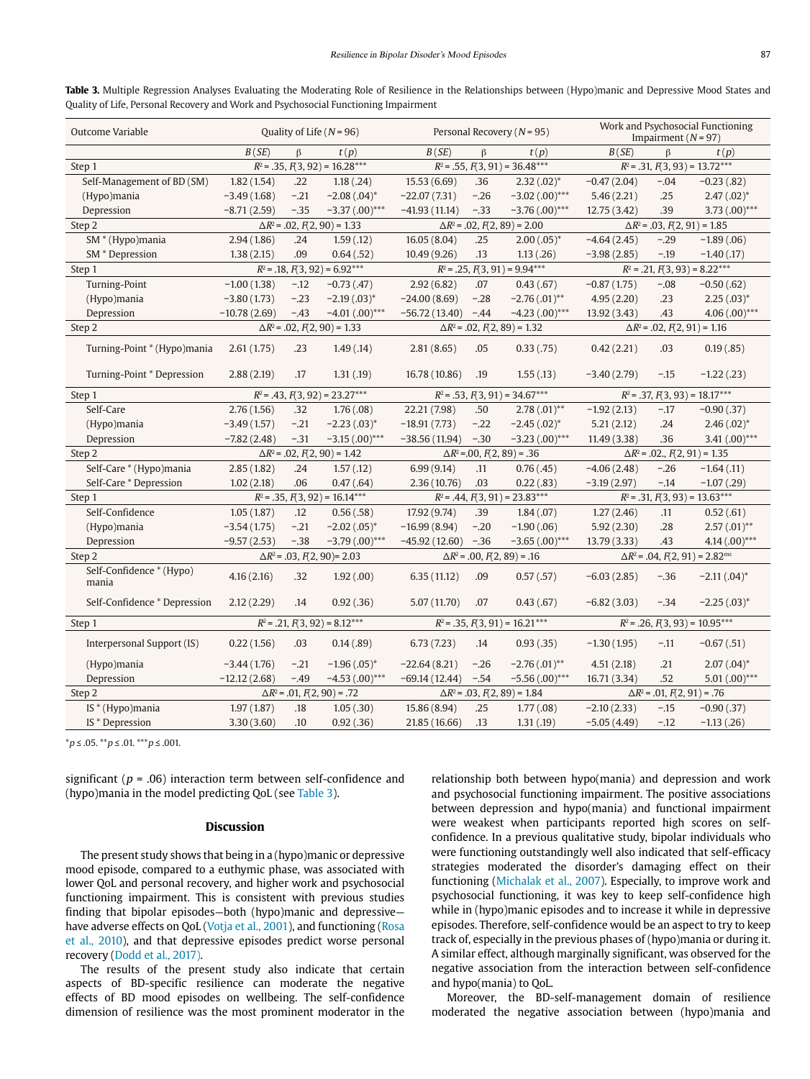| Outcome Variable                  |                |                                   | Quality of Life ( $N = 96$ )          |                                    | Personal Recovery ( $N = 95$ )                                                | Work and Psychosocial Functioning<br>Impairment $(N = 97)$ |                                    |                                        |                                                     |  |
|-----------------------------------|----------------|-----------------------------------|---------------------------------------|------------------------------------|-------------------------------------------------------------------------------|------------------------------------------------------------|------------------------------------|----------------------------------------|-----------------------------------------------------|--|
|                                   | B(SE)          | $\beta$                           | t(p)                                  | B(SE)                              | β                                                                             | t(p)                                                       | B(SE)<br>β                         |                                        | t(p)                                                |  |
| Step 1                            |                |                                   | $R^2$ = .35, $F(3, 92)$ = 16.28***    |                                    |                                                                               | $R^2$ = .55, $F(3, 91)$ = 36.48***                         |                                    | $R^2$ = .31, $F(3, 93)$ = 13.72***     |                                                     |  |
| Self-Management of BD (SM)        | 1.82(1.54)     | .22                               | 1.18(.24)                             | 15.53(6.69)                        | .36                                                                           | $2.32(.02)^*$                                              | $-0.47(2.04)$                      | $-.04$                                 | $-0.23(0.82)$                                       |  |
| (Hypo)mania                       | $-3.49(1.68)$  | $-.21$                            | $-2.08(.04)^*$                        | $-22.07(7.31)$                     | $-.26$                                                                        | $-3.02(.00)$ ***                                           | 5.46(2.21)                         | .25                                    | $2.47(.02)^{*}$                                     |  |
| Depression                        | $-8.71(2.59)$  | $-35$                             | $-3.37(.00)$ ***                      | $-41.93(11.14)$                    | $-.33$                                                                        | $-3.76(0.00)$ ***                                          | 12.75(3.42)                        | .39                                    | $3.73(0.00)$ ***                                    |  |
| Step 2                            |                |                                   | $\Delta R^2$ = .02, $F(2, 90)$ = 1.33 |                                    |                                                                               | $\Delta R^2$ = .02, $F(2, 89)$ = 2.00                      |                                    | $\Delta R^2$ = .03, $F(2, 91)$ = 1.85  |                                                     |  |
| SM * (Hypo)mania                  | 2.94(1.86)     | .24                               | 1.59(0.12)                            | 16.05(8.04)                        | .25                                                                           | $2.00(.05)^*$                                              | $-4.64(2.45)$                      | $-.29$                                 | $-1.89(.06)$                                        |  |
| SM <sup>*</sup> Depression        | 1.38(2.15)     | .09                               | 0.64(0.52)                            | 10.49(9.26)                        | .13                                                                           | 1.13(.26)                                                  | $-3.98(2.85)$                      | $-.19$                                 | $-1.40(0.17)$                                       |  |
| Step 1                            |                |                                   | $R^2$ = .18, $F(3, 92)$ = 6.92***     |                                    |                                                                               | $R^2$ = .25, $F(3, 91)$ = 9.94***                          |                                    | $R^2$ = .21, $F(3, 93)$ = 8.22***      |                                                     |  |
| Turning-Point                     | $-1.00(1.38)$  | $-.12$                            | $-0.73(0.47)$                         | 2.92(6.82)                         | .07                                                                           | 0.43(.67)                                                  | $-0.87(1.75)$                      | $-.08$                                 | $-0.50(.62)$                                        |  |
| (Hypo)mania                       | $-3.80(1.73)$  | $-.23$                            | $-2.19(.03)^{*}$                      | $-24.00(8.69)$                     | $-.28$                                                                        | $-2.76(.01)$ **                                            | 4.95(2.20)                         | .23                                    | $2.25(.03)^*$                                       |  |
| Depression                        | $-10.78(2.69)$ | $-.43$                            | $-4.01(.00)$ ***                      | $-56.72(13.40)$                    | $-.44$                                                                        | $-4.23(0.00)$ ***                                          | 13.92 (3.43)                       | .43                                    | $4.06(.00)$ ***                                     |  |
| Step 2                            |                |                                   | $\Delta R^2$ = .02, $F(2, 90)$ = 1.33 |                                    |                                                                               | $\Delta R^2$ = .02, $F(2, 89)$ = 1.32                      |                                    | $\Delta R^2$ = .02, $F(2, 91)$ = 1.16  |                                                     |  |
| Turning-Point * (Hypo)mania       | 2.61(1.75)     | .23                               | 1.49(0.14)                            | 2.81(8.65)                         | .05                                                                           | 0.33(0.75)                                                 | 0.42(2.21)                         | .03                                    | 0.19(.85)                                           |  |
| Turning-Point * Depression        | 2.88(2.19)     | .17                               | 1.31(0.19)                            | 16.78 (10.86)                      | .19                                                                           | 1.55(0.13)                                                 | $-3.40(2.79)$                      | $-15$                                  | $-1.22(0.23)$                                       |  |
| Step 1                            |                |                                   | $R^2$ = .43, $F(3, 92)$ = 23.27***    |                                    | $R^2$ = .53, $F(3, 91)$ = 34.67***                                            |                                                            | $R^2$ = .37, $F(3, 93)$ = 18.17*** |                                        |                                                     |  |
| Self-Care                         | 2.76(1.56)     | .32                               | 1.76(.08)                             | 22.21 (7.98)                       | .50                                                                           | $2.78(.01)$ **                                             | $-1.92(2.13)$                      | $-.17$                                 | $-0.90(.37)$                                        |  |
| (Hypo)mania                       | $-3.49(1.57)$  | $-.21$                            | $-2.23(.03)^*$                        | $-18.91(7.73)$                     | $-.22$                                                                        | $-2.45(.02)^{*}$                                           | 5.21(2.12)                         | .24                                    | $2.46(.02)^{*}$                                     |  |
| Depression                        | $-7.82(2.48)$  | $-.31$                            | $-3.15(.00)$ ***                      | $-38.56(11.94)$                    | $-.30$                                                                        | $-3.23(0.00)$ ***                                          | 11.49(3.38)                        | .36                                    | 3.41 $(.00)$ ***                                    |  |
| Step 2                            |                |                                   | $\Delta R^2$ = .02, $F(2, 90)$ = 1.42 |                                    |                                                                               | $\Delta R^2$ = 00, $F(2, 89)$ = 0.36                       |                                    | $\Delta R^2$ = .02., $F(2, 91)$ = 1.35 |                                                     |  |
| Self-Care * (Hypo)mania           | 2.85(1.82)     | .24                               | 1.57(0.12)                            | 6.99(9.14)                         | .11                                                                           | 0.76(.45)                                                  | $-4.06(2.48)$                      | $-.26$                                 | $-1.64(0.11)$                                       |  |
| Self-Care * Depression            | 1.02(2.18)     | .06                               | 0.47(.64)                             | 2.36(10.76)                        | .03                                                                           | 0.22(.83)                                                  | $-3.19(2.97)$                      | $-.14$                                 | $-1.07(0.29)$                                       |  |
| Step 1                            |                |                                   | $R^2$ = .35, $F(3, 92)$ = 16.14***    |                                    |                                                                               | $R^2$ = .44, $F(3, 91)$ = 23.83***                         |                                    | $R^2$ = .31, $F(3, 93)$ = 13.63***     |                                                     |  |
| Self-Confidence                   | 1.05(1.87)     | .12                               | 0.56(.58)                             | 17.92 (9.74)                       | .39                                                                           | 1.84(.07)                                                  | 1.27(2.46)                         | .11                                    | 0.52(.61)                                           |  |
| (Hypo)mania                       | $-3.54(1.75)$  | $-.21$                            | $-2.02(.05)^*$                        | $-16.99(8.94)$                     | $-.20$                                                                        | $-1.90(.06)$                                               | 5.92(2.30)                         | .28                                    | $2.57(.01)$ **                                      |  |
| Depression                        | $-9.57(2.53)$  | $-.38$                            | $-3.79(0.00)$ ***                     | $-45.92(12.60)$                    | $-.36$                                                                        | $-3.65$ $(.00)$ ***                                        | 13.79(3.33)                        | .43                                    | $4.14(.00)$ ***                                     |  |
| Step 2                            |                |                                   | $\Delta R^2$ = .03, $F(2, 90)$ = 2.03 |                                    |                                                                               | $\Delta R^2$ = .00, $F(2, 89)$ = .16                       |                                    |                                        | $\Delta R^2$ = .04, $F(2, 91)$ = 2.82 <sup>ms</sup> |  |
| Self-Confidence * (Hypo)<br>mania | 4.16(2.16)     | .32                               | 1.92(.00)                             | 6.35(11.12)                        | .09                                                                           | 0.57(.57)                                                  | $-6.03(2.85)$                      | $-.36$                                 | $-2.11(.04)^*$                                      |  |
| Self-Confidence * Depression      | 2.12(2.29)     | .14                               | 0.92(0.36)                            | 5.07 (11.70)                       | .07                                                                           | 0.43(.67)                                                  | $-6.82(3.03)$                      | $-.34$                                 | $-2.25(.03)^{*}$                                    |  |
| Step 1                            |                | $R^2$ = .21, $F(3, 92)$ = 8.12*** |                                       | $R^2$ = .35, $F(3, 91)$ = 16.21*** |                                                                               |                                                            | $R^2$ = .26, $F(3, 93)$ = 10.95*** |                                        |                                                     |  |
| Interpersonal Support (IS)        | 0.22(1.56)     | .03                               | 0.14(.89)                             | 6.73(7.23)                         | .14                                                                           | 0.93(0.35)                                                 | $-1.30(1.95)$                      | $-.11$                                 | $-0.67$ (.51)                                       |  |
| (Hypo)mania                       | $-3.44(1.76)$  | $-.21$                            | $-1.96(.05)^{*}$                      | $-22.64(8.21)$                     | $-.26$                                                                        | $-2.76(.01)$ **                                            | 4.51(2.18)                         | .21                                    | $2.07(.04)^*$                                       |  |
| Depression                        | $-12.12(2.68)$ | $-.49$                            | $-4.53(0.00)$ ***                     | $-69.14(12.44)$                    | $-.54$                                                                        | $-5.56(.00)$ ***                                           | 16.71 (3.34)                       | .52                                    | $5.01(.00)$ ***                                     |  |
| Step 2                            |                |                                   | $\Delta R^2$ = .01, $F(2, 90)$ = .72  |                                    | $\Delta R^2$ = .01, $F(2, 91)$ = .76<br>$\Delta R^2$ = .03, $F(2, 89)$ = 1.84 |                                                            |                                    |                                        |                                                     |  |
| IS * (Hypo)mania                  | 1.97(1.87)     | .18                               | 1.05(.30)                             | 15.86 (8.94)                       | .25                                                                           | 1.77(.08)                                                  | $-2.10(2.33)$                      | $-.15$                                 | $-0.90(0.37)$                                       |  |
| IS * Depression                   | 3.30(3.60)     | .10                               | 0.92(.36)                             | 21.85 (16.66)                      | .13                                                                           | 1.31(0.19)                                                 | $-5.05(4.49)$                      | $-.12$                                 | $-1.13(.26)$                                        |  |

**Table 3.** Multiple Regression Analyses Evaluating the Moderating Role of Resilience in the Relationships between (Hypo)manic and Depressive Mood States and Quality of Life, Personal Recovery and Work and Psychosocial Functioning Impairment

 $**p* \le .05. ***p* \le .01.****p* \le .001.$ 

significant ( $p = .06$ ) interaction term between self-confidence and (hypo)mania in the model predicting QoL (see Table 3).

#### **Discussion**

The present study shows that being in a (hypo)manic or depressive mood episode, compared to a euthymic phase, was associated with lower QoL and personal recovery, and higher work and psychosocial functioning impairment. This is consistent with previous studies finding that bipolar episodes—both (hypo)manic and depressive have adverse effects on QoL (Votja et al., 2001), and functioning (Rosa et al., 2010), and that depressive episodes predict worse personal recovery (Dodd et al., 2017).

The results of the present study also indicate that certain aspects of BD-specific resilience can moderate the negative effects of BD mood episodes on wellbeing. The self-confidence dimension of resilience was the most prominent moderator in the relationship both between hypo(mania) and depression and work and psychosocial functioning impairment. The positive associations between depression and hypo(mania) and functional impairment were weakest when participants reported high scores on selfconfidence. In a previous qualitative study, bipolar individuals who were functioning outstandingly well also indicated that self-efficacy strategies moderated the disorder's damaging effect on their functioning (Michalak et al., 2007). Especially, to improve work and psychosocial functioning, it was key to keep self-confidence high while in (hypo)manic episodes and to increase it while in depressive episodes. Therefore, self-confidence would be an aspect to try to keep track of, especially in the previous phases of (hypo)mania or during it. A similar effect, although marginally significant, was observed for the negative association from the interaction between self-confidence and hypo(mania) to QoL.

Moreover, the BD-self-management domain of resilience moderated the negative association between (hypo)mania and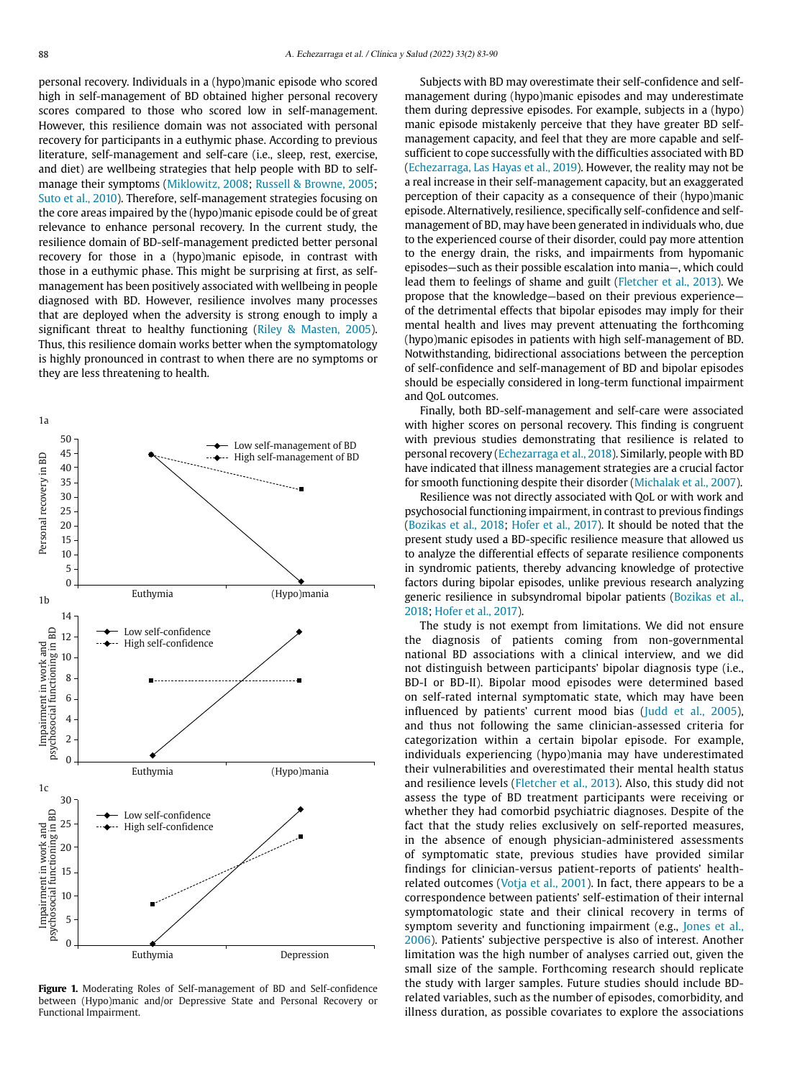personal recovery. Individuals in a (hypo)manic episode who scored high in self-management of BD obtained higher personal recovery scores compared to those who scored low in self-management. However, this resilience domain was not associated with personal recovery for participants in a euthymic phase. According to previous literature, self-management and self-care (i.e., sleep, rest, exercise, and diet) are wellbeing strategies that help people with BD to selfmanage their symptoms (Miklowitz, 2008; Russell & Browne, 2005; Suto et al., 2010). Therefore, self-management strategies focusing on the core areas impaired by the (hypo)manic episode could be of great relevance to enhance personal recovery. In the current study, the resilience domain of BD-self-management predicted better personal recovery for those in a (hypo)manic episode, in contrast with those in a euthymic phase. This might be surprising at first, as selfmanagement has been positively associated with wellbeing in people diagnosed with BD. However, resilience involves many processes that are deployed when the adversity is strong enough to imply a significant threat to healthy functioning (Riley & Masten, 2005). Thus, this resilience domain works better when the symptomatology is highly pronounced in contrast to when there are no symptoms or they are less threatening to health.



**Figure 1.** Moderating Roles of Self-management of BD and Self-confidence between (Hypo)manic and/or Depressive State and Personal Recovery or Functional Impairment.

Subjects with BD may overestimate their self-confidence and selfmanagement during (hypo)manic episodes and may underestimate them during depressive episodes. For example, subjects in a (hypo) manic episode mistakenly perceive that they have greater BD selfmanagement capacity, and feel that they are more capable and selfsufficient to cope successfully with the difficulties associated with BD (Echezarraga, Las Hayas et al., 2019). However, the reality may not be a real increase in their self-management capacity, but an exaggerated perception of their capacity as a consequence of their (hypo)manic episode. Alternatively, resilience, specifically self-confidence and selfmanagement of BD, may have been generated in individuals who, due to the experienced course of their disorder, could pay more attention to the energy drain, the risks, and impairments from hypomanic episodes—such as their possible escalation into mania—, which could lead them to feelings of shame and guilt (Fletcher et al., 2013). We propose that the knowledge—based on their previous experience of the detrimental effects that bipolar episodes may imply for their mental health and lives may prevent attenuating the forthcoming (hypo)manic episodes in patients with high self-management of BD. Notwithstanding, bidirectional associations between the perception of self-confidence and self-management of BD and bipolar episodes should be especially considered in long-term functional impairment and QoL outcomes.

Finally, both BD-self-management and self-care were associated with higher scores on personal recovery. This finding is congruent with previous studies demonstrating that resilience is related to personal recovery (Echezarraga et al., 2018). Similarly, people with BD have indicated that illness management strategies are a crucial factor for smooth functioning despite their disorder (Michalak et al., 2007).

Resilience was not directly associated with QoL or with work and psychosocial functioning impairment, in contrast to previous findings (Bozikas et al., 2018; Hofer et al., 2017). It should be noted that the present study used a BD-specific resilience measure that allowed us to analyze the differential effects of separate resilience components in syndromic patients, thereby advancing knowledge of protective factors during bipolar episodes, unlike previous research analyzing generic resilience in subsyndromal bipolar patients (Bozikas et al., 2018; Hofer et al., 2017).

The study is not exempt from limitations. We did not ensure the diagnosis of patients coming from non-governmental national BD associations with a clinical interview, and we did not distinguish between participants' bipolar diagnosis type (i.e., BD-I or BD-II). Bipolar mood episodes were determined based on self-rated internal symptomatic state, which may have been influenced by patients' current mood bias (Judd et al., 2005), and thus not following the same clinician-assessed criteria for categorization within a certain bipolar episode. For example, individuals experiencing (hypo)mania may have underestimated their vulnerabilities and overestimated their mental health status and resilience levels (Fletcher et al., 2013). Also, this study did not assess the type of BD treatment participants were receiving or whether they had comorbid psychiatric diagnoses. Despite of the fact that the study relies exclusively on self-reported measures, in the absence of enough physician-administered assessments of symptomatic state, previous studies have provided similar findings for clinician-versus patient-reports of patients' healthrelated outcomes (Votja et al., 2001). In fact, there appears to be a correspondence between patients' self-estimation of their internal symptomatologic state and their clinical recovery in terms of symptom severity and functioning impairment (e.g., Jones et al., 2006). Patients' subjective perspective is also of interest. Another limitation was the high number of analyses carried out, given the small size of the sample. Forthcoming research should replicate the study with larger samples. Future studies should include BDrelated variables, such as the number of episodes, comorbidity, and illness duration, as possible covariates to explore the associations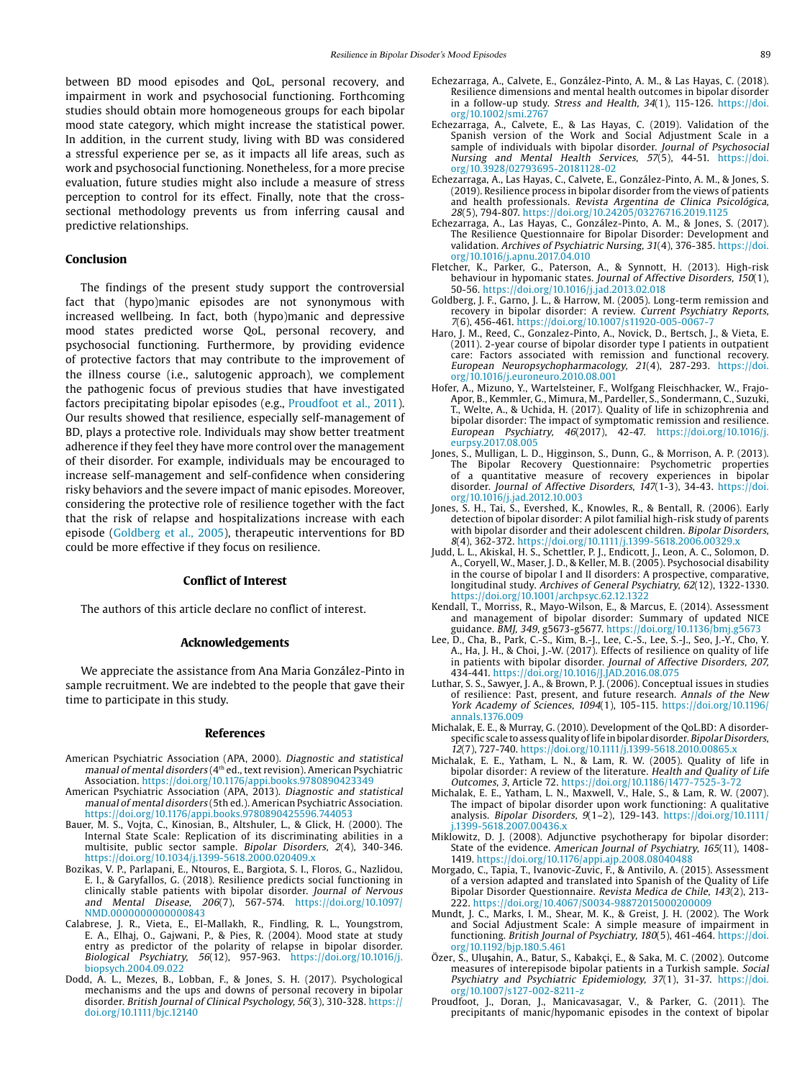between BD mood episodes and QoL, personal recovery, and impairment in work and psychosocial functioning. Forthcoming studies should obtain more homogeneous groups for each bipolar mood state category, which might increase the statistical power. In addition, in the current study, living with BD was considered a stressful experience per se, as it impacts all life areas, such as work and psychosocial functioning. Nonetheless, for a more precise evaluation, future studies might also include a measure of stress perception to control for its effect. Finally, note that the crosssectional methodology prevents us from inferring causal and predictive relationships.

## **Conclusion**

The findings of the present study support the controversial fact that (hypo)manic episodes are not synonymous with increased wellbeing. In fact, both (hypo)manic and depressive mood states predicted worse QoL, personal recovery, and psychosocial functioning. Furthermore, by providing evidence of protective factors that may contribute to the improvement of the illness course (i.e., salutogenic approach), we complement the pathogenic focus of previous studies that have investigated factors precipitating bipolar episodes (e.g., Proudfoot et al., 2011). Our results showed that resilience, especially self-management of BD, plays a protective role. Individuals may show better treatment adherence if they feel they have more control over the management of their disorder. For example, individuals may be encouraged to increase self-management and self-confidence when considering risky behaviors and the severe impact of manic episodes. Moreover, considering the protective role of resilience together with the fact that the risk of relapse and hospitalizations increase with each episode (Goldberg et al., 2005), therapeutic interventions for BD could be more effective if they focus on resilience.

#### **Conflict of Interest**

The authors of this article declare no conflict of interest.

#### **Acknowledgements**

We appreciate the assistance from Ana Maria González-Pinto in sample recruitment. We are indebted to the people that gave their time to participate in this study.

#### **References**

- American Psychiatric Association (APA, 2000). Diagnostic and statistical manual of mental disorders (4th ed., text revision). American Psychiatric Association.<https://doi.org/10.1176/appi.books.9780890423349>
- American Psychiatric Association (APA, 2013). Diagnostic and statistical manual of mental disorders (5th ed.). American Psychiatric Association. <https://doi.org/10.1176/appi.books.9780890425596.744053>
- Bauer, M. S., Vojta, C., Kinosian, B., Altshuler, L., & Glick, H. (2000). The Internal State Scale: Replication of its discriminating abilities in a multisite, public sector sample. Bipolar Disorders, 2(4), 340-346. <https://doi.org/10.1034/j.1399-5618.2000.020409.x>
- Bozikas, V. P., Parlapani, E., Ntouros, E., Bargiota, S. I., Floros, G., Nazlidou, E. I., & Garyfallos, G. (2018). Resilience predicts social functioning in clinically stable patients with bipolar disorder. Journal of Nervous and Mental Disease, 206(7), 567-574. [https://doi.org/10.1097/](https://doi.org/10.1097/NMD.0000000000000843) [NMD.0000000000000843](https://doi.org/10.1097/NMD.0000000000000843)
- Calabrese, J. R., Vieta, E., El-Mallakh, R., Findling, R. L., Youngstrom, E. A., Elhaj, O., Gajwani, P., & Pies, R. (2004). Mood state at study entry as predictor of the polarity of relapse in bipolar disorder. Biological Psychiatry, 56(12), 957-963. [https://doi.org/10.1016/j.](https://doi.org/10.1016/j.biopsych.2004.09.022) [biopsych.2004.09.022](https://doi.org/10.1016/j.biopsych.2004.09.022)
- Dodd, A. L., Mezes, B., Lobban, F., & Jones, S. H. (2017). Psychological mechanisms and the ups and downs of personal recovery in bipolar disorder. British Journal of Clinical Psychology, 56(3), 310-328. [https://](https://doi.org/10.1111/bjc.12140) [doi.org/10.1111/bjc.12140](https://doi.org/10.1111/bjc.12140)
- Echezarraga, A., Calvete, E., González-Pinto, A. M., & Las Hayas, C. (2018). Resilience dimensions and mental health outcomes in bipolar disorder in a follow-up study. Stress and Health, 34(1), 115-126. [https://doi.](https://doi.org/10.1002/smi.2767) [org/10.1002/smi.2767](https://doi.org/10.1002/smi.2767)
- Echezarraga, A., Calvete, E., & Las Hayas, C. (2019). Validation of the Spanish version of the Work and Social Adjustment Scale in a sample of individuals with bipolar disorder. Journal of Psychosocial Nursing and Mental Health Services, 57(5), 44-51. [https://doi.](https://doi.org/10.3928/02793695-20181128-02) [org/10.3928/02793695-20181128-02](https://doi.org/10.3928/02793695-20181128-02)
- Echezarraga, A., Las Hayas, C., Calvete, E., González-Pinto, A. M., & Jones, S. (2019). Resilience process in bipolar disorder from the views of patients and health professionals. Revista Argentina de Clinica Psicológica, 28(5), 794-807.<https://doi.org/10.24205/03276716.2019.1125>
- Echezarraga, A., Las Hayas, C., González-Pinto, A. M., & Jones, S. (2017). The Resilience Questionnaire for Bipolar Disorder: Development and validation. Archives of Psychiatric Nursing, 31(4), 376-385. [https://doi.](https://doi.org/10.1016/j.apnu.2017.04.010) [org/10.1016/j.apnu.2017.04.010](https://doi.org/10.1016/j.apnu.2017.04.010)
- Fletcher, K., Parker, G., Paterson, A., & Synnott, H. (2013). High-risk behaviour in hypomanic states. Journal of Affective Disorders, 150(1), 50-56. <https://doi.org/10.1016/j.jad.2013.02.018>
- Goldberg, J. F., Garno, J. L., & Harrow, M. (2005). Long-term remission and recovery in bipolar disorder: A review. Current Psychiatry Reports, 7(6), 456-461. <https://doi.org/10.1007/s11920-005-0067-7>
- Haro, J. M., Reed, C., Gonzalez-Pinto, A., Novick, D., Bertsch, J., & Vieta, E. (2011). 2-year course of bipolar disorder type I patients in outpatient care: Factors associated with remission and functional recovery. European Neuropsychopharmacology, 21(4), 287-293. [https://doi.](https://doi.org/10.1016/j.euroneuro.2010.08.001) [org/10.1016/j.euroneuro.2010.08.001](https://doi.org/10.1016/j.euroneuro.2010.08.001)
- Hofer, A., Mizuno, Y., Wartelsteiner, F., Wolfgang Fleischhacker, W., Frajo-Apor, B., Kemmler, G., Mimura, M., Pardeller, S., Sondermann, C., Suzuki, T., Welte, A., & Uchida, H. (2017). Quality of life in schizophrenia and bipolar disorder: The impact of symptomatic remission and resilience. European Psychiatry, 46(2017), 42-47. [https://doi.org/10.1016/j.](https://doi.org/10.1016/j.eurpsy.2017.08.005) [eurpsy.2017.08.005](https://doi.org/10.1016/j.eurpsy.2017.08.005)
- Jones, S., Mulligan, L. D., Higginson, S., Dunn, G., & Morrison, A. P. (2013). The Bipolar Recovery Questionnaire: Psychometric properties of a quantitative measure of recovery experiences in bipolar disorder. Journal of Affective Disorders, 147(1-3), 34-43. [https://doi.](https://doi.org/10.1016/j.jad.2012.10.003) [org/10.1016/j.jad.2012.10.003](https://doi.org/10.1016/j.jad.2012.10.003)
- Jones, S. H., Tai, S., Evershed, K., Knowles, R., & Bentall, R. (2006). Early detection of bipolar disorder: A pilot familial high-risk study of parents with bipolar disorder and their adolescent children. Bipolar Disorders, 8(4), 362-372. <https://doi.org/10.1111/j.1399-5618.2006.00329.x>
- Judd, L. L., Akiskal, H. S., Schettler, P. J., Endicott, J., Leon, A. C., Solomon, D. A., Coryell, W., Maser, J. D., & Keller, M. B. (2005). Psychosocial disability in the course of bipolar I and II disorders: A prospective, comparative, longitudinal study. Archives of General Psychiatry, 62(12), 1322-1330. <https://doi.org/10.1001/archpsyc.62.12.1322>
- Kendall, T., Morriss, R., Mayo-Wilson, E., & Marcus, E. (2014). Assessment and management of bipolar disorder: Summary of updated NICE guidance. BMJ, 349, g5673-g5677. <https://doi.org/10.1136/bmj.g5673>
- Lee, D., Cha, B., Park, C.-S., Kim, B.-J., Lee, C.-S., Lee, S.-J., Seo, J.-Y., Cho, Y. A., Ha, J. H., & Choi, J.-W. (2017). Effects of resilience on quality of life in patients with bipolar disorder. Journal of Affective Disorders, 207, 434-441. <https://doi.org/10.1016/J.JAD.2016.08.075>
- Luthar, S. S., Sawyer, J. A., & Brown, P. J. (2006). Conceptual issues in studies of resilience: Past, present, and future research. Annals of the New York Academy of Sciences, 1094(1), 105-115. [https://doi.org/10.1196/](https://doi.org/10.1196/annals.1376.009) [annals.1376.009](https://doi.org/10.1196/annals.1376.009)
- Michalak, E. E., & Murray, G. (2010). Development of the QoL.BD: A disorderspecific scale to assess quality of life in bipolar disorder. Bipolar Disorders, 12(7), 727-740. <https://doi.org/10.1111/j.1399-5618.2010.00865.x>
- Michalak, E. E., Yatham, L. N., & Lam, R. W. (2005). Quality of life in bipolar disorder: A review of the literature. Health and Quality of Life Outcomes, 3, Article 72. <https://doi.org/10.1186/1477-7525-3-72>
- Michalak, E. E., Yatham, L. N., Maxwell, V., Hale, S., & Lam, R. W. (2007). The impact of bipolar disorder upon work functioning: A qualitative analysis. Bipolar Disorders, 9(1–2), 129-143. [https://doi.org/10.1111/](https://doi.org/10.1111/j.1399-5618.2007.00436.x) [j.1399-5618.2007.00436.x](https://doi.org/10.1111/j.1399-5618.2007.00436.x)
- Miklowitz, D. J. (2008). Adjunctive psychotherapy for bipolar disorder: State of the evidence. American Journal of Psychiatry, 165(11), 1408-1419. <https://doi.org/10.1176/appi.ajp.2008.08040488>
- Morgado, C., Tapia, T., Ivanovic-Zuvic, F., & Antivilo, A. (2015). Assessment of a version adapted and translated into Spanish of the Quality of Life Bipolar Disorder Questionnaire. Revista Medica de Chile, 143(2), 213- 222. <https://doi.org/10.4067/S0034-98872015000200009>
- Mundt, J. C., Marks, I. M., Shear, M. K., & Greist, J. H. (2002). The Work and Social Adjustment Scale: A simple measure of impairment in functioning. British Journal of Psychiatry, 180(5), 461-464. [https://doi.](https://doi.org/10.1192/bjp.180.5.461) [org/10.1192/bjp.180.5.461](https://doi.org/10.1192/bjp.180.5.461)
- Özer, S., Uluşahin, A., Batur, S., Kabakçi, E., & Saka, M. C. (2002). Outcome measures of interepisode bipolar patients in a Turkish sample. Social Psychiatry and Psychiatric Epidemiology, 37(1), 31-37. [https://doi.](https://doi.org/10.1007/s127-002-8211-z) [org/10.1007/s127-002-8211-z](https://doi.org/10.1007/s127-002-8211-z)
- Proudfoot, J., Doran, J., Manicavasagar, V., & Parker, G. (2011). The precipitants of manic/hypomanic episodes in the context of bipolar